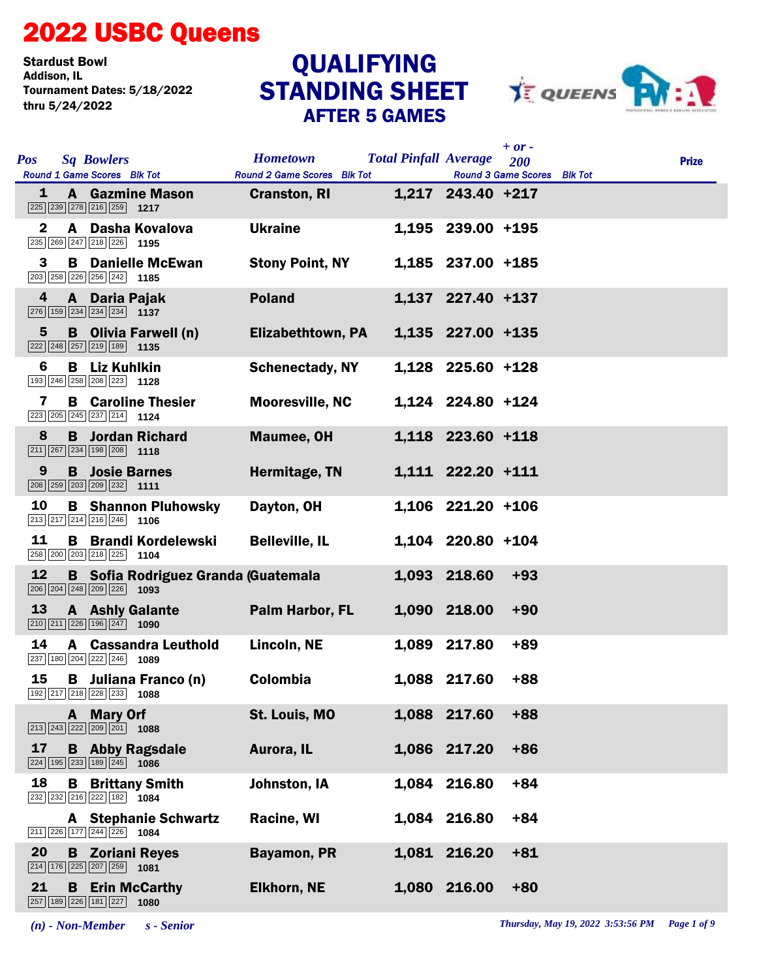## 2022 USBC Queens

Stardust Bowl<br>Addison, IL Tournament Dates: 5/18/2022 thru 5/24/2022

## STANDING SHEET AFTER 5 GAMES **QUALIFYING**



|              |                                                                                                                                 |                                                |                                                             | $+$ or $-$ |              |
|--------------|---------------------------------------------------------------------------------------------------------------------------------|------------------------------------------------|-------------------------------------------------------------|------------|--------------|
| <b>Pos</b>   | <b>Sq Bowlers</b><br>Round 1 Game Scores Blk Tot                                                                                | <b>Hometown</b><br>Round 2 Game Scores Blk Tot | <b>Total Pinfall Average</b><br>Round 3 Game Scores Blk Tot | <b>200</b> | <b>Prize</b> |
| 1            | <b>A</b> Gazmine Mason<br>225 239 278 216 259 1217                                                                              | <b>Cranston, RI</b>                            | 1,217 243.40 +217                                           |            |              |
| $\mathbf{2}$ | A Dasha Kovalova<br>235 269 247 218 226 1195                                                                                    | <b>Ukraine</b>                                 | 1,195 239.00 +195                                           |            |              |
| 3            | <b>B</b> Danielle McEwan<br>203 258 226 256 242 1185                                                                            | <b>Stony Point, NY</b>                         | 1,185 237.00 +185                                           |            |              |
| 4            | A Daria Pajak<br>$\boxed{276}$ 159 234 234 234 1137                                                                             | <b>Poland</b>                                  | 1,137 227.40 +137                                           |            |              |
| 5            | <b>B</b> Olivia Farwell (n)<br>222 248 257 219 189 1135                                                                         | <b>Elizabethtown, PA</b>                       | 1,135 227.00 +135                                           |            |              |
| 6            | <b>B</b> Liz Kuhlkin<br>193 246 258 208 223 1128                                                                                | <b>Schenectady, NY</b>                         | 1,128 225.60 +128                                           |            |              |
| 7            | <b>B</b> Caroline Thesier<br>223 205 245 237 214 1124                                                                           | <b>Mooresville, NC</b>                         | 1,124 224.80 +124                                           |            |              |
| 8            | <b>B</b> Jordan Richard<br>$\boxed{211}$ $\boxed{267}$ $\boxed{234}$ $\boxed{198}$ $\boxed{208}$ <b>1118</b>                    | <b>Maumee, OH</b>                              | 1,118 223.60 +118                                           |            |              |
| 9            | <b>B</b> Josie Barnes<br>208 259 203 209 232 1111                                                                               | Hermitage, TN                                  | 1,111 222.20 +111                                           |            |              |
| 10           | <b>B</b> Shannon Pluhowsky<br>$\boxed{213}$ $\boxed{217}$ $\boxed{214}$ $\boxed{216}$ $\boxed{246}$ 1106                        | Dayton, OH                                     | $1,106$ 221.20 +106                                         |            |              |
| 11           | <b>B</b> Brandi Kordelewski<br>258 200 203 218 225 1104                                                                         | <b>Belleville, IL</b>                          | 1,104 220.80 +104                                           |            |              |
| 12           | <b>B</b> Sofia Rodriguez Granda (Guatemala<br>$\boxed{206}$ $\boxed{204}$ $\boxed{248}$ $\boxed{209}$ $\boxed{226}$ <b>1093</b> |                                                | 1,093 218.60                                                | $+93$      |              |
| 13           | <b>A</b> Ashly Galante<br>$\boxed{210}$ $\boxed{211}$ $\boxed{226}$ $\boxed{196}$ $\boxed{247}$ <b>1090</b>                     | Palm Harbor, FL                                | 1,090 218.00                                                | $+90$      |              |
| 14           | <b>A</b> Cassandra Leuthold<br>237 180 204 222 246 1089                                                                         | Lincoln, NE                                    | 1,089 217.80                                                | $+89$      |              |
| 15           | <b>B</b> Juliana Franco (n)<br>192 217 218 228 233 1088                                                                         | Colombia                                       | 1,088 217.60                                                | $+88$      |              |
|              | A Mary Orf<br>$\boxed{213}$ $\boxed{243}$ $\boxed{222}$ $\boxed{209}$ $\boxed{201}$ <b>1088</b>                                 | St. Louis, MO                                  | 1,088 217.60                                                | $+88$      |              |
| 17           | <b>B</b> Abby Ragsdale<br>$\boxed{224}$ 195 233 189 245 1086                                                                    | Aurora, IL                                     | 1,086 217.20                                                | $+86$      |              |
| 18           | <b>Brittany Smith</b><br>B<br>$\boxed{232}$ $\boxed{232}$ $\boxed{216}$ $\boxed{222}$ $\boxed{182}$ <b>1084</b>                 | Johnston, IA                                   | 1,084 216.80                                                | $+84$      |              |
|              | <b>A</b> Stephanie Schwartz<br>211 226 177 244 226 1084                                                                         | Racine, WI                                     | 1,084 216.80                                                | $+84$      |              |
| 20           | <b>B</b> Zoriani Reyes<br>214 176 225 207 259 1081                                                                              | <b>Bayamon, PR</b>                             | 1,081 216.20                                                | $+81$      |              |
| 21           | <b>Erin McCarthy</b><br>B<br>257 189 226 181 227 1080                                                                           | <b>Elkhorn, NE</b>                             | 1,080 216.00                                                | $+80$      |              |

*(n) - Non-Member s - Senior Thursday, May 19, 2022 3:53:56 PM Page 1 of 9*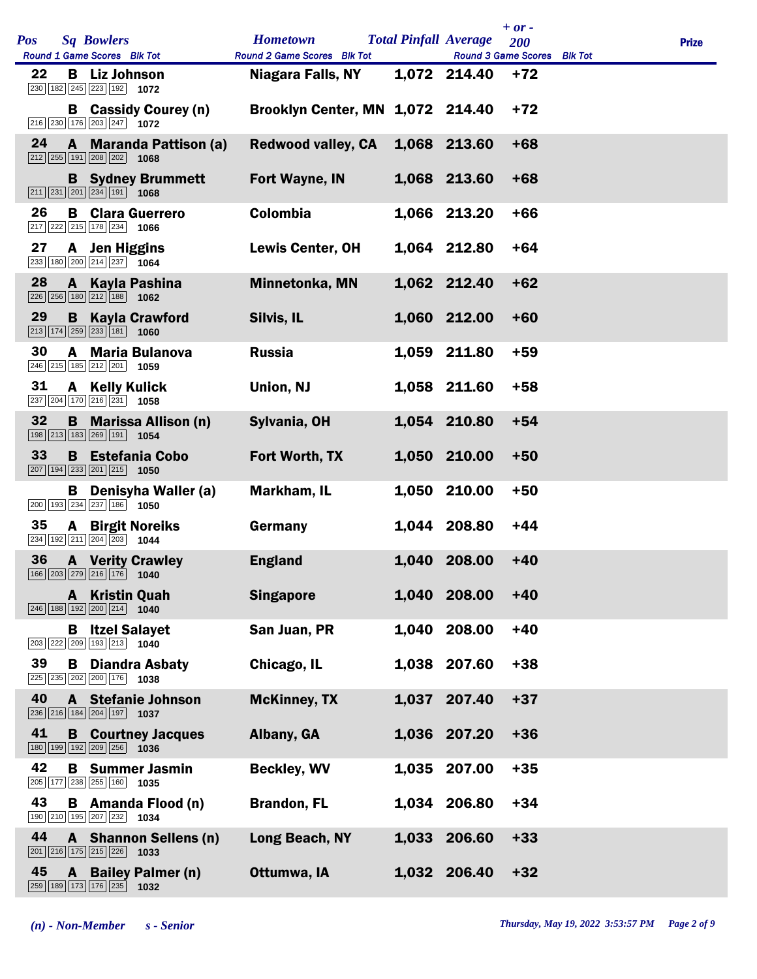| <b>Pos</b> | <b>Sq Bowlers</b><br>Round 1 Game Scores Blk Tot                                                               | <b>Hometown</b><br>Round 2 Game Scores Blk Tot |       | <b>Total Pinfall Average</b><br>Round 3 Game Scores Blk Tot | $+ or -$<br>200 | <b>Prize</b> |
|------------|----------------------------------------------------------------------------------------------------------------|------------------------------------------------|-------|-------------------------------------------------------------|-----------------|--------------|
| 22         | <b>B</b> Liz Johnson<br>230 182 245 223 192 1072                                                               | Niagara Falls, NY                              |       | 1,072 214.40                                                | $+72$           |              |
|            | <b>B</b> Cassidy Courey (n)<br>216 230 176 203 247 1072                                                        | <b>Brooklyn Center, MN 1,072 214.40</b>        |       |                                                             | $+72$           |              |
| 24         | A Maranda Pattison (a)<br>$\boxed{212}$ $\boxed{255}$ $\boxed{191}$ $\boxed{208}$ $\boxed{202}$ <b>1068</b>    | <b>Redwood valley, CA</b>                      |       | 1,068 213.60                                                | $+68$           |              |
|            | <b>B</b> Sydney Brummett<br>$\boxed{211}$ $\boxed{231}$ $\boxed{201}$ $\boxed{234}$ $\boxed{191}$ <b>1068</b>  | Fort Wayne, IN                                 |       | 1,068 213.60                                                | $+68$           |              |
| 26         | <b>B</b> Clara Guerrero<br>$\boxed{217}$ $\boxed{222}$ $\boxed{215}$ $\boxed{178}$ $\boxed{234}$ <b>1066</b>   | Colombia                                       |       | 1,066 213.20                                                | $+66$           |              |
| 27         | A Jen Higgins<br>$\overline{233}$ 180 200 214 237 1064                                                         | <b>Lewis Center, OH</b>                        |       | 1,064 212.80                                                | $+64$           |              |
| 28         | A Kayla Pashina<br>$\overline{226}$ $\overline{256}$ 180 $\overline{212}$ 188 1062                             | Minnetonka, MN                                 |       | 1,062 212.40                                                | $+62$           |              |
| 29         | <b>B</b> Kayla Crawford<br>$\boxed{213}$ $\boxed{174}$ $\boxed{259}$ $\boxed{233}$ $\boxed{181}$<br>1060       | Silvis, IL                                     |       | 1,060 212.00                                                | $+60$           |              |
| 30         | A Maria Bulanova<br>246 215 185 212 201 1059                                                                   | <b>Russia</b>                                  |       | 1,059 211.80                                                | $+59$           |              |
| 31         | A Kelly Kulick<br>237 204 170 216 231 1058                                                                     | Union, NJ                                      |       | 1,058 211.60                                                | $+58$           |              |
| 32         | <b>B</b> Marissa Allison (n)<br>198 213 183 269 191 1054                                                       | Sylvania, OH                                   |       | 1,054 210.80                                                | $+54$           |              |
| 33         | <b>B</b> Estefania Cobo<br>$\boxed{207}$ 194 233 201 215 1050                                                  | Fort Worth, TX                                 |       | 1,050 210.00                                                | $+50$           |              |
|            | <b>B</b> Denisyha Waller (a)<br>$\boxed{200}$ 193 234 237 186 1050                                             | Markham, IL                                    |       | 1,050 210.00                                                | $+50$           |              |
| 35         | <b>A</b> Birgit Noreiks<br>234 192 211 204 203 1044                                                            | Germany                                        |       | 1,044 208.80                                                | $+44$           |              |
| 36         | <b>A</b> Verity Crawley<br>166 203 279 216 176 1040                                                            | <b>England</b>                                 |       | 1,040 208.00                                                | $+40$           |              |
|            | <b>A</b> Kristin Quah<br>$\boxed{246}$ 188 192 200 214 1040                                                    | <b>Singapore</b>                               |       | 1,040 208.00                                                | $+40$           |              |
|            | <b>B</b> Itzel Salayet<br>203 222 209 193 213 1040                                                             | San Juan, PR                                   |       | 1,040 208.00                                                | $+40$           |              |
| 39         | <b>B</b> Diandra Asbaty<br>225 235 202 200 176 1038                                                            | Chicago, IL                                    |       | 1,038 207.60                                                | $+38$           |              |
| 40         | <b>A</b> Stefanie Johnson<br>236 216 184 204 197 1037                                                          | <b>McKinney, TX</b>                            | 1,037 | 207.40                                                      | $+37$           |              |
| 41         | <b>B</b> Courtney Jacques<br>180 199 192 209 256 1036                                                          | Albany, GA                                     |       | 1,036 207.20                                                | $+36$           |              |
| 42         | <b>B</b> Summer Jasmin<br>205 177 238 255 160 1035                                                             | <b>Beckley, WV</b>                             |       | 1,035 207.00                                                | $+35$           |              |
| 43         | <b>B</b> Amanda Flood (n)<br>$\boxed{190}$ $\boxed{210}$ $\boxed{195}$ $\boxed{207}$ $\boxed{232}$ <b>1034</b> | <b>Brandon, FL</b>                             |       | 1,034 206.80                                                | $+34$           |              |
| 44         | A Shannon Sellens (n)<br>$\boxed{201}$ $\boxed{216}$ $\boxed{175}$ $\boxed{215}$ $\boxed{226}$<br>1033         | Long Beach, NY                                 |       | 1,033 206.60                                                | $+33$           |              |
| 45         | A Bailey Palmer (n)<br>259 189 173 176 235<br>1032                                                             | Ottumwa, IA                                    |       | 1,032 206.40                                                | $+32$           |              |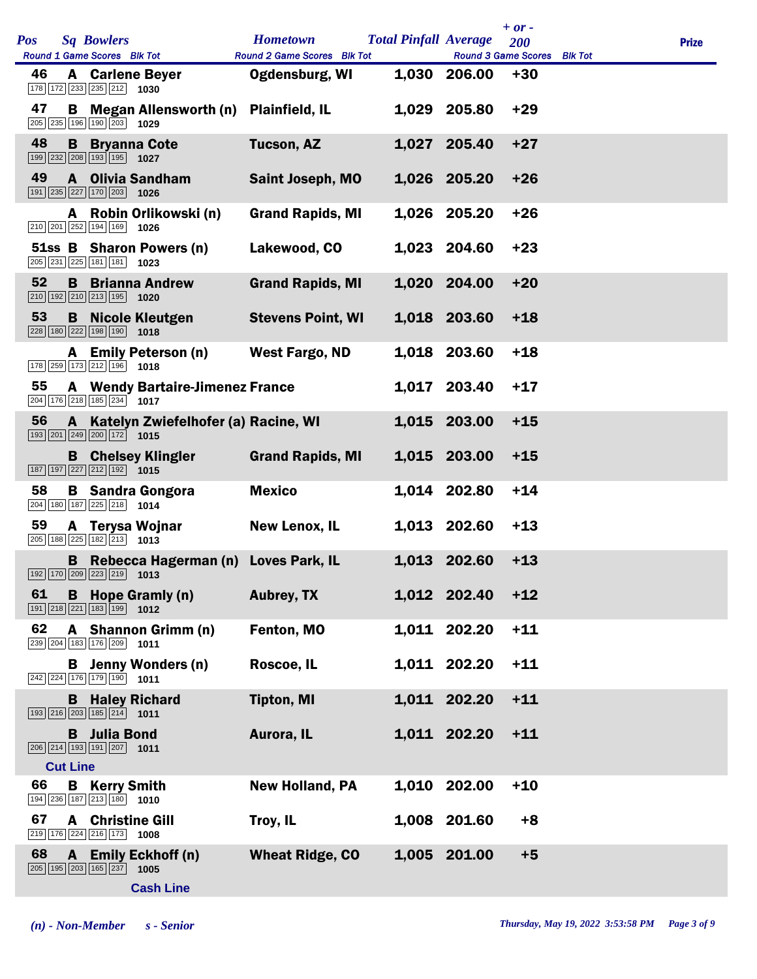| Pos |                 | <b>Sq Bowlers</b>                                                                                            |                                              | <b>Hometown</b>             | <b>Total Pinfall Average</b> | $+ or -$<br>200 | <b>Prize</b> |
|-----|-----------------|--------------------------------------------------------------------------------------------------------------|----------------------------------------------|-----------------------------|------------------------------|-----------------|--------------|
|     |                 | Round 1 Game Scores Blk Tot                                                                                  |                                              | Round 2 Game Scores Blk Tot | Round 3 Game Scores Blk Tot  |                 |              |
| 46  |                 | <b>A</b> Carlene Beyer<br>$\boxed{178}$ $\boxed{172}$ $\boxed{233}$ $\boxed{235}$ $\boxed{212}$ <b>1030</b>  |                                              | <b>Ogdensburg, WI</b>       | 1,030 206.00                 | $+30$           |              |
| 47  | В               | 205 235 196 190 203 1029                                                                                     | <b>Megan Allensworth (n)</b>                 | <b>Plainfield, IL</b>       | 1,029 205.80                 | $+29$           |              |
| 48  |                 | <b>B</b> Bryanna Cote<br>199 232 208 193 195 1027                                                            |                                              | <b>Tucson, AZ</b>           | 1,027 205.40                 | $+27$           |              |
| 49  |                 | 191 235 227 170 203 1026                                                                                     | A Olivia Sandham                             | <b>Saint Joseph, MO</b>     | 1,026 205.20                 | $+26$           |              |
|     | A               | $\boxed{210}$ $\boxed{201}$ $\boxed{252}$ $\boxed{194}$ $\boxed{169}$ <b>1026</b>                            | Robin Orlikowski (n)                         | <b>Grand Rapids, MI</b>     | 1,026 205.20                 | $+26$           |              |
|     |                 | 205 231 225 181 181 1023                                                                                     | 51ss B Sharon Powers (n)                     | Lakewood, CO                | 1,023 204.60                 | $+23$           |              |
| 52  |                 | $\boxed{210}$ $\boxed{192}$ $\boxed{210}$ $\boxed{213}$ $\boxed{195}$ <b>1020</b>                            | <b>B</b> Brianna Andrew                      | <b>Grand Rapids, MI</b>     | 1,020 204.00                 | $+20$           |              |
| 53  | B               | $\boxed{228}$ 180 $\boxed{222}$ 198 190 1018                                                                 | Nicole Kleutgen                              | <b>Stevens Point, WI</b>    | 1,018 203.60                 | $+18$           |              |
|     |                 | 178 259 173 212 196 1018                                                                                     | A Emily Peterson (n)                         | <b>West Fargo, ND</b>       | 1,018 203.60                 | $+18$           |              |
| 55  |                 | $\boxed{204}$ 176 218 185 234 1017                                                                           | <b>A</b> Wendy Bartaire-Jimenez France       |                             | 1,017 203.40                 | $+17$           |              |
| 56  |                 | $\boxed{193}$ $\boxed{201}$ $\boxed{249}$ $\boxed{200}$ $\boxed{172}$ <b>1015</b>                            | A Katelyn Zwiefelhofer (a) Racine, WI        |                             | 1,015 203.00                 | $+15$           |              |
|     |                 | $\boxed{187}$ $\boxed{197}$ $\boxed{227}$ $\boxed{212}$ $\boxed{192}$ <b>1015</b>                            | <b>B</b> Chelsey Klingler                    | <b>Grand Rapids, MI</b>     | 1,015 203.00                 | $+15$           |              |
| 58  |                 | $\boxed{204}$ 180 187 225 218 1014                                                                           | <b>B</b> Sandra Gongora                      | <b>Mexico</b>               | 1,014 202.80                 | $+14$           |              |
| 59  |                 | 205 188 225 182 213 1013                                                                                     | A Terysa Wojnar                              | <b>New Lenox, IL</b>        | 1,013 202.60                 | $+13$           |              |
|     |                 | 192 170 209 223 219 1013                                                                                     | <b>B</b> Rebecca Hagerman (n) Loves Park, IL |                             | 1,013 202.60                 | $+13$           |              |
| 61  |                 | $\boxed{191}$ $\boxed{218}$ $\boxed{221}$ $\boxed{183}$ $\boxed{199}$ <b>1012</b>                            | <b>B</b> Hope Gramly (n)                     | <b>Aubrey, TX</b>           | 1,012 202.40                 | $+12$           |              |
| 62  |                 | 239 204 183 176 209 1011                                                                                     | A Shannon Grimm (n)                          | Fenton, MO                  | 1,011 202.20                 | $+11$           |              |
|     |                 | 242 224 176 179 190 1011                                                                                     | <b>B</b> Jenny Wonders (n)                   | Roscoe, IL                  | 1,011 202.20                 | $+11$           |              |
|     |                 | <b>B</b> Haley Richard<br>$\boxed{193}$ $\boxed{216}$ $\boxed{203}$ $\boxed{185}$ $\boxed{214}$ <b>1011</b>  |                                              | <b>Tipton, MI</b>           | 1,011 202.20                 | $+11$           |              |
|     |                 | <b>B</b> Julia Bond<br>206 214 193 191 207 1011                                                              |                                              | Aurora, IL                  | 1,011 202.20                 | $+11$           |              |
|     | <b>Cut Line</b> |                                                                                                              |                                              |                             |                              |                 |              |
| 66  | B               | <b>Kerry Smith</b><br>194 236 187 213 180 1010                                                               |                                              | <b>New Holland, PA</b>      | 1,010 202.00                 | $+10$           |              |
| 67  |                 | <b>A</b> Christine Gill<br>$\boxed{219}$ $\boxed{176}$ $\boxed{224}$ $\boxed{216}$ $\boxed{173}$ <b>1008</b> |                                              | Troy, IL                    | 1,008 201.60                 | $+8$            |              |
| 68  | A               | $\boxed{205}$ $\boxed{195}$ $\boxed{203}$ $\boxed{165}$ $\boxed{237}$                                        | <b>Emily Eckhoff (n)</b><br>1005             | <b>Wheat Ridge, CO</b>      | 1,005 201.00                 | $+5$            |              |
|     |                 |                                                                                                              | <b>Cash Line</b>                             |                             |                              |                 |              |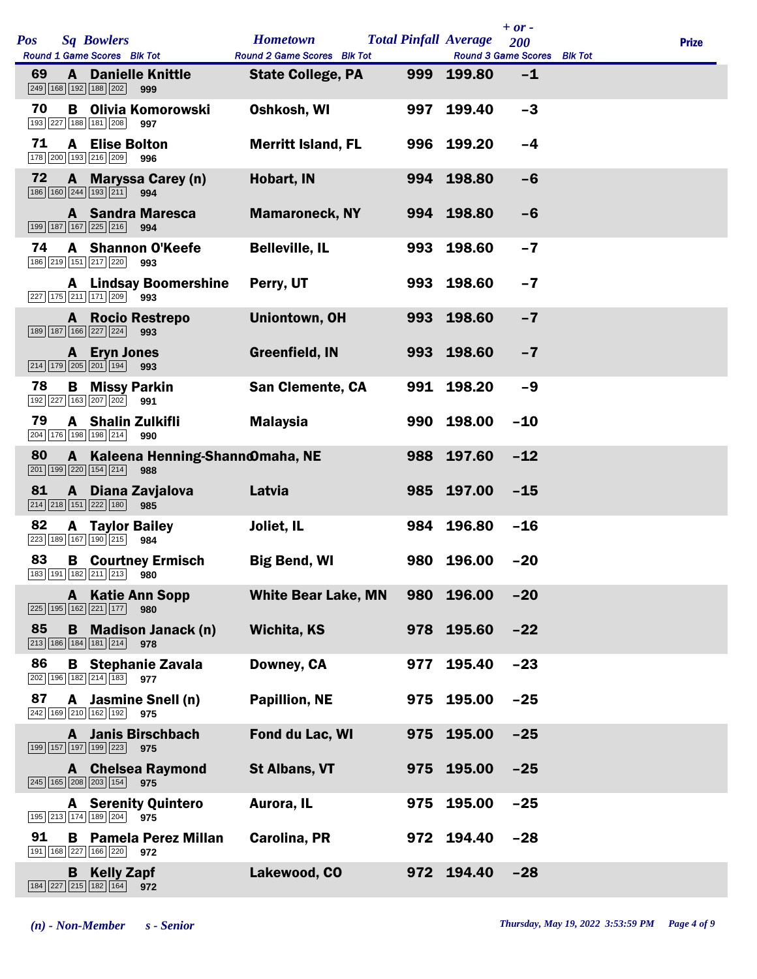| Pos |              | <b>Sq Bowlers</b><br>Round 1 Game Scores Blk Tot                                      |                                         | <b>Hometown</b>                                                |     | <b>Total Pinfall Average</b>              | $+ or -$<br>200 | <b>Prize</b> |
|-----|--------------|---------------------------------------------------------------------------------------|-----------------------------------------|----------------------------------------------------------------|-----|-------------------------------------------|-----------------|--------------|
| 69  | A            | 249 168 192 188 202                                                                   | <b>Danielle Knittle</b><br>999          | <b>Round 2 Game Scores Blk Tot</b><br><b>State College, PA</b> |     | Round 3 Game Scores Blk Tot<br>999 199.80 | $-1$            |              |
| 70  | B            | 193 227 188 181 208                                                                   | Olivia Komorowski<br>997                | Oshkosh, WI                                                    | 997 | 199.40                                    | $-3$            |              |
| 71  |              | <b>A</b> Elise Bolton<br>178 200 193 216 209                                          | 996                                     | <b>Merritt Island, FL</b>                                      |     | 996 199.20                                | $-4$            |              |
| 72  |              | 186 160 244 193 211                                                                   | A Maryssa Carey (n)<br>994              | Hobart, IN                                                     |     | 994 198.80                                | $-6$            |              |
|     |              | 199 187 167 225 216                                                                   | <b>A</b> Sandra Maresca<br>994          | <b>Mamaroneck, NY</b>                                          |     | 994 198.80                                | $-6$            |              |
| 74  |              | 186 219 151 217 220                                                                   | <b>A</b> Shannon O'Keefe<br>993         | <b>Belleville, IL</b>                                          | 993 | 198.60                                    | $-7$            |              |
|     |              | 227 175 211 171 209                                                                   | <b>A</b> Lindsay Boomershine<br>993     | Perry, UT                                                      |     | 993 198.60                                | $-7$            |              |
|     |              | 189 187 166 227 224                                                                   | <b>A</b> Rocio Restrepo<br>993          | Uniontown, OH                                                  |     | 993 198.60                                | $-7$            |              |
|     |              | A Eryn Jones<br>$\boxed{214}$ $\boxed{179}$ $\boxed{205}$ $\boxed{201}$ $\boxed{194}$ | 993                                     | Greenfield, IN                                                 |     | 993 198.60                                | $-7$            |              |
| 78  |              | <b>B</b> Missy Parkin<br>192 227 163 207 202                                          | 991                                     | <b>San Clemente, CA</b>                                        | 991 | 198.20                                    | $-9$            |              |
| 79  |              | A Shalin Zulkifli<br>204 176 198 198 214                                              | 990                                     | <b>Malaysia</b>                                                |     | 990 198.00                                | $-10$           |              |
| 80  |              | $\boxed{201}$ $\boxed{199}$ $\boxed{220}$ $\boxed{154}$ $\boxed{214}$                 | A Kaleena Henning-Shann@maha, NE<br>988 |                                                                |     | 988 197.60                                | $-12$           |              |
| 81  | $\mathbf{A}$ | 214 218 151 222 180                                                                   | Diana Zavjalova<br>985                  | Latvia                                                         |     | 985 197.00                                | $-15$           |              |
| 82  |              | <b>A</b> Taylor Bailey<br>223 189 167 190 215                                         | 984                                     | Joliet, IL                                                     |     | 984 196.80                                | $-16$           |              |
| 83  |              | 183 191 182 211 213 980                                                               | <b>B</b> Courtney Ermisch               | <b>Big Bend, WI</b>                                            |     | 980 196.00                                | $-20$           |              |
|     |              | $\boxed{225}$ 195 162 221 177                                                         | <b>A</b> Katie Ann Sopp<br>980          | <b>White Bear Lake, MN</b>                                     | 980 | 196.00                                    | $-20$           |              |
| 85  |              | 213 186 184 181 214                                                                   | <b>B</b> Madison Janack (n)<br>978      | Wichita, KS                                                    |     | 978 195.60                                | $-22$           |              |
| 86  |              | 202 196 182 214 183                                                                   | <b>B</b> Stephanie Zavala<br>977        | Downey, CA                                                     | 977 | 195.40                                    | $-23$           |              |
| 87  |              | 242 169 210 162 192                                                                   | A Jasmine Snell (n)<br>975              | <b>Papillion, NE</b>                                           |     | 975 195.00                                | $-25$           |              |
|     |              | 199 157 197 199 223                                                                   | <b>A</b> Janis Birschbach<br>975        | Fond du Lac, WI                                                |     | 975 195.00                                | $-25$           |              |
|     |              | 245 165 208 203 154                                                                   | <b>A</b> Chelsea Raymond<br>975         | <b>St Albans, VT</b>                                           |     | 975 195.00                                | $-25$           |              |
|     |              | 195 213 174 189 204                                                                   | <b>A</b> Serenity Quintero<br>975       | Aurora, IL                                                     | 975 | 195.00                                    | $-25$           |              |
| 91  | B            | 191 168 227 166 220                                                                   | <b>Pamela Perez Millan</b><br>972       | Carolina, PR                                                   |     | 972 194.40                                | $-28$           |              |
|     |              | <b>B</b> Kelly Zapf<br>$\boxed{184}\boxed{227}\boxed{215}\boxed{182}\boxed{164}$      | 972                                     | Lakewood, CO                                                   |     | 972 194.40                                | $-28$           |              |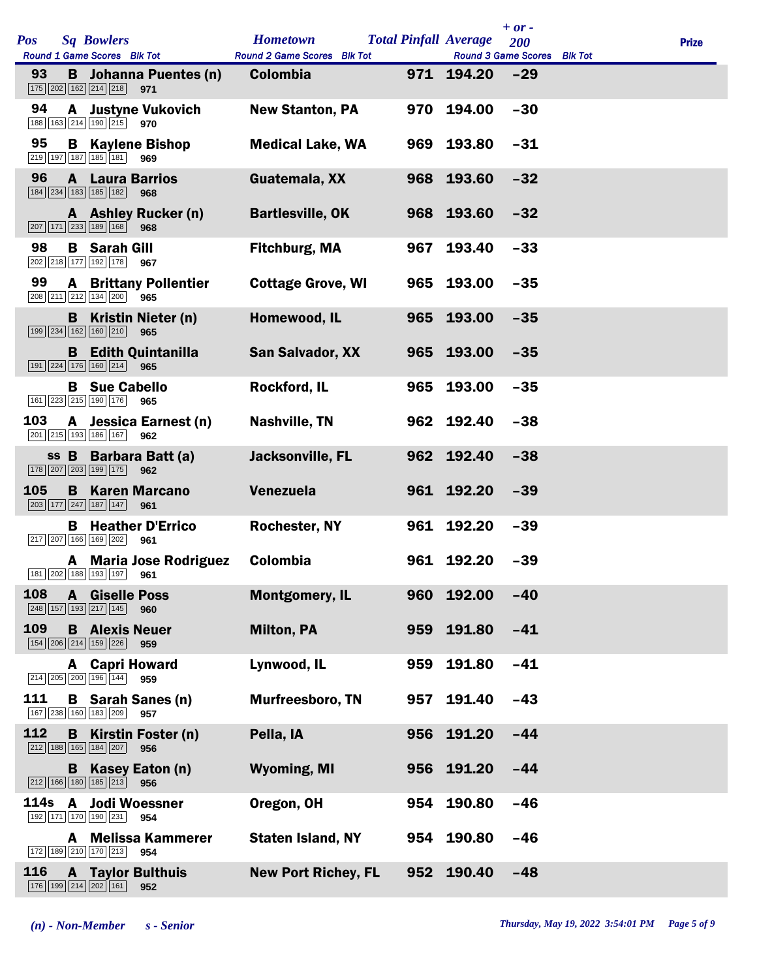| <b>Pos</b> |              | <b>Sq Bowlers</b><br>Round 1 Game Scores Blk Tot                                                       | <b>Hometown</b><br>Round 2 Game Scores Blk Tot |     | <b>Total Pinfall Average</b><br>Round 3 Game Scores Blk Tot | $+ or -$<br>200 | <b>Prize</b> |
|------------|--------------|--------------------------------------------------------------------------------------------------------|------------------------------------------------|-----|-------------------------------------------------------------|-----------------|--------------|
| 93         |              | <b>B</b> Johanna Puentes (n)<br>175 202 162 214 218<br>971                                             | Colombia                                       |     | 971 194.20                                                  | $-29$           |              |
| 94         |              | <b>A</b> Justyne Vukovich<br>188 163 214 190 215<br>970                                                | <b>New Stanton, PA</b>                         |     | 970 194.00                                                  | $-30$           |              |
| 95         |              | <b>B</b> Kaylene Bishop<br>$\boxed{219}$ 197 187 185 181 969                                           | <b>Medical Lake, WA</b>                        |     | 969 193.80                                                  | $-31$           |              |
| 96         |              | <b>A</b> Laura Barrios<br>184 234 183 185 182<br>968                                                   | Guatemala, XX                                  |     | 968 193.60                                                  | $-32$           |              |
|            |              | A Ashley Rucker (n)<br>207 171 233 189 168<br>968                                                      | <b>Bartlesville, OK</b>                        |     | 968 193.60                                                  | $-32$           |              |
| 98         |              | <b>B</b> Sarah Gill<br>202 218 177 192 178<br>967                                                      | Fitchburg, MA                                  | 967 | 193.40                                                      | $-33$           |              |
| 99         |              | <b>A</b> Brittany Pollentier<br>208 211 212 134 200<br>965                                             | <b>Cottage Grove, WI</b>                       |     | 965 193.00                                                  | $-35$           |              |
|            |              | <b>B</b> Kristin Nieter (n)<br>199 234 162 160 210<br>965                                              | Homewood, IL                                   |     | 965 193.00                                                  | $-35$           |              |
|            |              | <b>B</b> Edith Quintanilla<br>191 224 176 160 214 965                                                  | <b>San Salvador, XX</b>                        |     | 965 193.00                                                  | $-35$           |              |
|            |              | <b>B</b> Sue Cabello<br>161 223 215 190 176<br>965                                                     | Rockford, IL                                   |     | 965 193.00                                                  | $-35$           |              |
| 103        |              | A Jessica Earnest (n)<br>201 215 193 186 167<br>962                                                    | Nashville, TN                                  |     | 962 192.40                                                  | $-38$           |              |
|            |              | ss B Barbara Batt (a)<br>178 207 203 199 175<br>962                                                    | Jacksonville, FL                               |     | 962 192.40                                                  | $-38$           |              |
| 105        |              | <b>B</b> Karen Marcano<br>203 177 247 187 147<br>961                                                   | Venezuela                                      |     | 961 192.20                                                  | $-39$           |              |
|            | в            | <b>Heather D'Errico</b><br>217 207 166 169 202<br>961                                                  | <b>Rochester, NY</b>                           |     | 961 192.20                                                  | $-39$           |              |
|            |              | <b>A</b> Maria Jose Rodriguez<br>181 202 188 193 197 961                                               | Colombia                                       |     | 961 192.20                                                  | $-39$           |              |
| 108        | $\mathbf{A}$ | <b>Giselle Poss</b><br>248 157 193 217 145<br>960                                                      | <b>Montgomery, IL</b>                          | 960 | 192.00                                                      | $-40$           |              |
| 109        | B            | <b>Alexis Neuer</b><br>154 206 214 159 226<br>959                                                      | <b>Milton, PA</b>                              | 959 | 191.80                                                      | $-41$           |              |
|            |              | <b>A</b> Capri Howard<br>214 205 200 196 144<br>959                                                    | Lynwood, IL                                    | 959 | 191.80                                                      | $-41$           |              |
| 111        |              | <b>B</b> Sarah Sanes (n)<br>167 238 160 183 209<br>957                                                 | <b>Murfreesboro, TN</b>                        | 957 | 191.40                                                      | $-43$           |              |
| 112        | B            | Kirstin Foster (n)<br>212 188 165 184 207<br>956                                                       | Pella, IA                                      | 956 | 191.20                                                      | $-44$           |              |
|            | B.           | Kasey Eaton (n)<br>$212$ 166 180 185 213<br>956                                                        | <b>Wyoming, MI</b>                             |     | 956 191.20                                                  | $-44$           |              |
| 114s       | A            | <b>Jodi Woessner</b><br>192 171 170 190 231<br>954                                                     | Oregon, OH                                     | 954 | 190.80                                                      | $-46$           |              |
|            | A            | <b>Melissa Kammerer</b><br>172 189 210 170 213<br>954                                                  | <b>Staten Island, NY</b>                       |     | 954 190.80                                                  | $-46$           |              |
| 116        | $\mathbf{A}$ | <b>Taylor Bulthuis</b><br>$\boxed{176}$ $\boxed{199}$ $\boxed{214}$ $\boxed{202}$ $\boxed{161}$<br>952 | <b>New Port Richey, FL</b>                     | 952 | 190.40                                                      | $-48$           |              |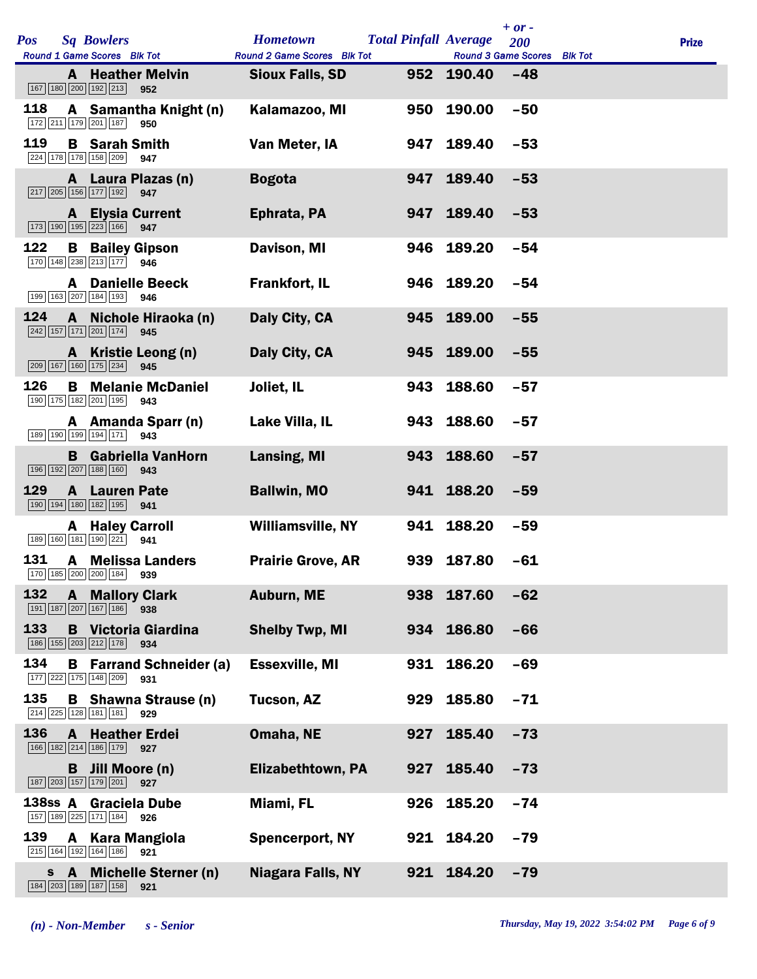|              |              |                                                                       |                                     |                             |                              |            | $+$ or $-$                  |              |
|--------------|--------------|-----------------------------------------------------------------------|-------------------------------------|-----------------------------|------------------------------|------------|-----------------------------|--------------|
| <b>Pos</b>   |              | <b>Sq Bowlers</b>                                                     |                                     | <b>Hometown</b>             | <b>Total Pinfall Average</b> |            | 200                         | <b>Prize</b> |
|              |              | Round 1 Game Scores Blk Tot                                           |                                     | Round 2 Game Scores Blk Tot |                              |            | Round 3 Game Scores Blk Tot |              |
|              |              | 167 180 200 192 213                                                   | <b>A</b> Heather Melvin<br>952      | <b>Sioux Falls, SD</b>      |                              | 952 190.40 | $-48$                       |              |
| 118          |              | 172 211 179 201 187                                                   | A Samantha Knight (n)<br>950        | Kalamazoo, MI               | 950                          | 190.00     | $-50$                       |              |
| 119          |              | <b>B</b> Sarah Smith<br>224 178 178 158 209                           | 947                                 | Van Meter, IA               |                              | 947 189.40 | $-53$                       |              |
|              |              | 217 205 156 177 192                                                   | A Laura Plazas (n)<br>947           | <b>Bogota</b>               | 947                          | 189.40     | $-53$                       |              |
|              | A            | $\boxed{173}$ $\boxed{190}$ $\boxed{195}$ $\boxed{223}$ $\boxed{166}$ | <b>Elysia Current</b><br>947        | Ephrata, PA                 | 947                          | 189.40     | $-53$                       |              |
| 122          | B            | 170 148 238 213 177                                                   | <b>Bailey Gipson</b><br>946         | Davison, MI                 | 946                          | 189.20     | $-54$                       |              |
|              | A            | 199 163 207 184 193                                                   | <b>Danielle Beeck</b><br>946        | <b>Frankfort, IL</b>        |                              | 946 189.20 | $-54$                       |              |
| 124          | $\mathbf{A}$ | 242 157 171 201 174                                                   | Nichole Hiraoka (n)<br>945          | Daly City, CA               | 945                          | 189.00     | $-55$                       |              |
|              |              | 209 167 160 175 234                                                   | A Kristie Leong (n)<br>945          | Daly City, CA               |                              | 945 189.00 | $-55$                       |              |
| 126          | B            | 190 175 182 201 195                                                   | <b>Melanie McDaniel</b><br>943      | Joliet, IL                  | 943                          | 188.60     | $-57$                       |              |
|              |              | 189 190 199 194 171                                                   | A Amanda Sparr (n)<br>943           | Lake Villa, IL              |                              | 943 188.60 | $-57$                       |              |
|              |              | 196 192 207 188 160                                                   | <b>B</b> Gabriella VanHorn<br>943   | Lansing, MI                 |                              | 943 188.60 | $-57$                       |              |
| 129          | $\mathbf{A}$ | <b>Lauren Pate</b><br>190 194 180 182 195                             | 941                                 | <b>Ballwin, MO</b>          |                              | 941 188.20 | $-59$                       |              |
|              | A            | <b>Haley Carroll</b><br>189 160 181 190 221                           | 941                                 | Williamsville, NY           | 941                          | 188.20     | $-59$                       |              |
| 131          |              | $\boxed{170}$ $\boxed{185}$ $\boxed{200}$ $\boxed{200}$ $\boxed{184}$ | <b>A</b> Melissa Landers<br>939     | <b>Prairie Grove, AR</b>    |                              | 939 187.80 | $-61$                       |              |
| 132          | A            | 191 187 207 167 186                                                   | <b>Mallory Clark</b><br>938         | Auburn, ME                  | 938                          | 187.60     | $-62$                       |              |
| 133          |              | 186 155 203 212 178                                                   | <b>B</b> Victoria Giardina<br>934   | <b>Shelby Twp, MI</b>       |                              | 934 186.80 | $-66$                       |              |
| 134          | B            | 177 222 175 148 209                                                   | <b>Farrand Schneider (a)</b><br>931 | <b>Essexville, MI</b>       | 931                          | 186.20     | $-69$                       |              |
| 135          | B            | 214 225 128 181 181                                                   | <b>Shawna Strause (n)</b><br>929    | <b>Tucson, AZ</b>           | 929                          | 185.80     | $-71$                       |              |
| 136          | $\mathsf{A}$ | 166 182 214 186 179                                                   | <b>Heather Erdei</b><br>927         | Omaha, NE                   | 927                          | 185.40     | $-73$                       |              |
|              | B            | Jill Moore (n)<br>187 203 157 179 201                                 | 927                                 | <b>Elizabethtown, PA</b>    | 927                          | 185.40     | $-73$                       |              |
| $138$ ss $A$ |              | 157 189 225 171 184                                                   | <b>Graciela Dube</b><br>926         | Miami, FL                   | 926                          | 185.20     | $-74$                       |              |
| 139          | A            | 215 164 192 164 186                                                   | <b>Kara Mangiola</b><br>921         | <b>Spencerport, NY</b>      | 921                          | 184.20     | $-79$                       |              |
| S            | $\mathbf{A}$ | 184 203 189 187 158                                                   | <b>Michelle Sterner (n)</b><br>921  | <b>Niagara Falls, NY</b>    | 921                          | 184.20     | $-79$                       |              |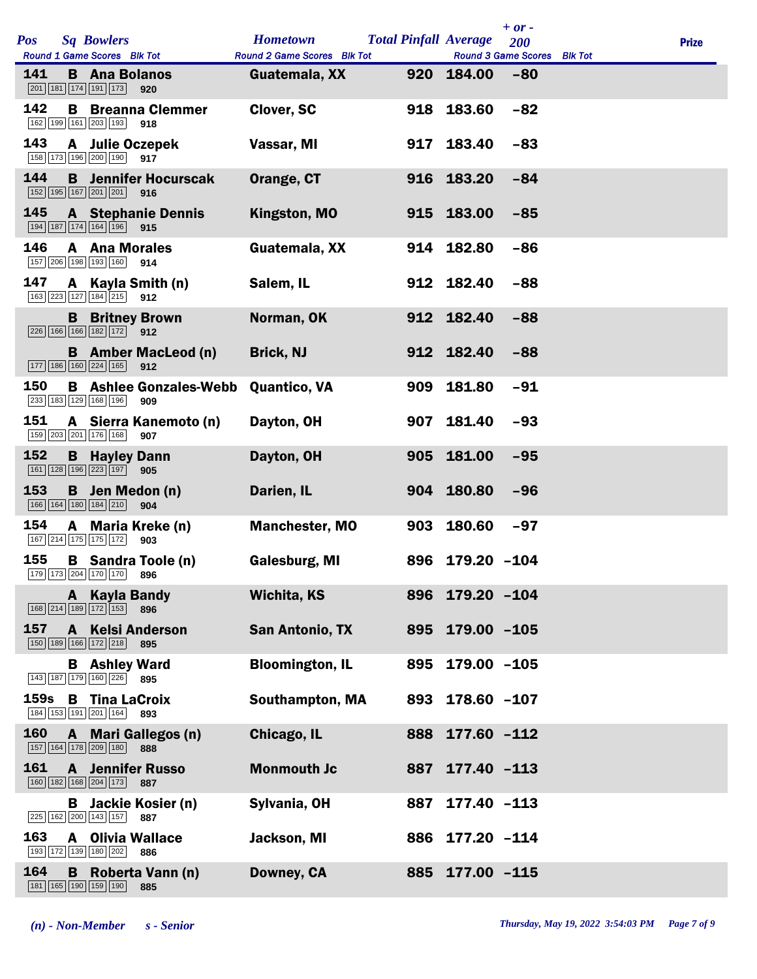|      |              |                                                                                              |                                      |                             |     |                              | $+ or -$                    |              |
|------|--------------|----------------------------------------------------------------------------------------------|--------------------------------------|-----------------------------|-----|------------------------------|-----------------------------|--------------|
| Pos  |              | <b>Sq Bowlers</b>                                                                            |                                      | <b>Hometown</b>             |     | <b>Total Pinfall Average</b> | 200                         | <b>Prize</b> |
|      |              | Round 1 Game Scores Blk Tot                                                                  |                                      | Round 2 Game Scores Blk Tot |     |                              | Round 3 Game Scores Blk Tot |              |
| 141  |              | <b>B</b> Ana Bolanos<br>$\boxed{201}$ 181 174 191 173                                        | 920                                  | Guatemala, XX               |     | 920 184.00                   | $-80$                       |              |
| 142  |              | 162 199 161 203 193                                                                          | <b>B</b> Breanna Clemmer<br>918      | <b>Clover, SC</b>           | 918 | 183.60                       | $-82$                       |              |
| 143  |              | 158 173 196 200 190 917                                                                      | A Julie Oczepek                      | Vassar, MI                  |     | 917 183.40                   | $-83$                       |              |
| 144  |              | 152 195 167 201 201                                                                          | <b>B</b> Jennifer Hocurscak<br>916   | Orange, CT                  |     | 916 183.20                   | $-84$                       |              |
| 145  |              | 194 187 174 164 196                                                                          | <b>A</b> Stephanie Dennis<br>915     | Kingston, MO                |     | 915 183.00                   | $-85$                       |              |
| 146  |              | <b>A</b> Ana Morales<br>157 206 198 193 160                                                  | 914                                  | Guatemala, XX               |     | 914 182.80                   | $-86$                       |              |
| 147  |              | 163 223 127 184 215 912                                                                      | A Kayla Smith (n)                    | Salem, IL                   |     | 912 182.40                   | $-88$                       |              |
|      |              | 226 166 166 182 172 912                                                                      | <b>B</b> Britney Brown               | Norman, OK                  |     | 912 182.40                   | $-88$                       |              |
|      |              | 177 186 160 224 165                                                                          | <b>B</b> Amber MacLeod (n)<br>912    | <b>Brick, NJ</b>            |     | 912 182.40                   | $-88$                       |              |
| 150  |              | 233 183 129 168 196                                                                          | <b>B</b> Ashlee Gonzales-Webb<br>909 | <b>Quantico, VA</b>         | 909 | 181.80                       | $-91$                       |              |
| 151  |              | 159 203 201 176 168                                                                          | A Sierra Kanemoto (n)<br>907         | Dayton, OH                  |     | 907 181.40                   | $-93$                       |              |
| 152  |              | <b>B</b> Hayley Dann<br>161 128 196 223 197 905                                              |                                      | Dayton, OH                  |     | 905 181.00                   | $-95$                       |              |
| 153  |              | 166 164 180 184 210                                                                          | <b>B</b> Jen Medon (n)<br>904        | Darien, IL                  |     | 904 180.80                   | $-96$                       |              |
| 154  | A            | 167 214 175 175 172                                                                          | Maria Kreke (n)<br>903               | <b>Manchester, MO</b>       | 903 | 180.60                       | $-97$                       |              |
| 155  |              | 179 173 204 170 170                                                                          | <b>B</b> Sandra Toole (n)<br>896     | <b>Galesburg, MI</b>        |     | 896 179.20 -104              |                             |              |
|      |              | A Kayla Bandy<br>168 214 189 172 153                                                         | 896                                  | <b>Wichita, KS</b>          | 896 | $179.20 - 104$               |                             |              |
| 157  | A –          | 150 189 166 172 218                                                                          | <b>Kelsi Anderson</b><br>895         | <b>San Antonio, TX</b>      |     | 895 179.00 -105              |                             |              |
|      |              | <b>B</b> Ashley Ward<br>143 187 179 160 226                                                  | 895                                  | <b>Bloomington, IL</b>      | 895 | 179.00 -105                  |                             |              |
| 159s | В            | <b>Tina LaCroix</b><br>$\boxed{184}$ $\boxed{153}$ $\boxed{191}$ $\boxed{201}$ $\boxed{164}$ | 893                                  | <b>Southampton, MA</b>      | 893 | $178.60 - 107$               |                             |              |
| 160  |              | 157 164 178 209 180                                                                          | A Mari Gallegos (n)<br>888           | Chicago, IL                 | 888 | 177.60 -112                  |                             |              |
| 161  | $\mathbf{A}$ | 160 182 168 204 173                                                                          | <b>Jennifer Russo</b><br>887         | <b>Monmouth Jc</b>          | 887 | $177.40 - 113$               |                             |              |
|      | В            | 225 162 200 143 157                                                                          | Jackie Kosier (n)<br>887             | Sylvania, OH                | 887 | $177.40 - 113$               |                             |              |
| 163  |              | 193 172 139 180 202                                                                          | <b>A</b> Olivia Wallace<br>886       | Jackson, MI                 | 886 | 177.20 -114                  |                             |              |
| 164  | B            | 181 165 190 159 190                                                                          | Roberta Vann (n)<br>885              | Downey, CA                  |     | 885 177.00 -115              |                             |              |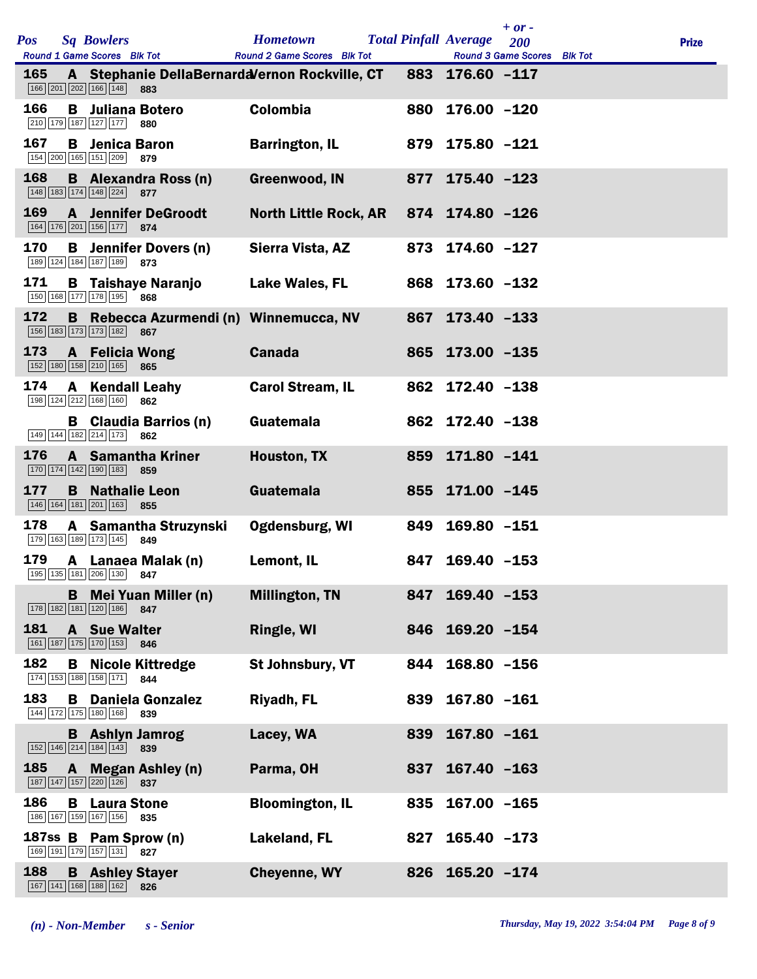| <b>Pos</b> |   | <b>Sq Bowlers</b><br>Round 1 Game Scores Blk Tot                                                |                                     | <b>Hometown</b><br><b>Round 2 Game Scores</b> Blk Tot         |     | <b>Total Pinfall Average</b> | $+$ or $-$<br>200<br>Round 3 Game Scores Blk Tot | <b>Prize</b> |
|------------|---|-------------------------------------------------------------------------------------------------|-------------------------------------|---------------------------------------------------------------|-----|------------------------------|--------------------------------------------------|--------------|
| <b>165</b> |   | 166 201 202 166 148                                                                             | 883                                 | A Stephanie DellaBernardd/ernon Rockville, CT 883 176.60 -117 |     |                              |                                                  |              |
| 166        |   | 210 179 187 127 177                                                                             | <b>B</b> Juliana Botero<br>880      | <b>Colombia</b>                                               |     | 880 176.00 -120              |                                                  |              |
| 167        |   | <b>B</b> Jenica Baron<br>154 200 165 151 209                                                    | 879                                 | <b>Barrington, IL</b>                                         |     | 879 175.80 -121              |                                                  |              |
| 168        |   | 148 183 174 148 224                                                                             | <b>B</b> Alexandra Ross (n)<br>877  | Greenwood, IN                                                 |     | 877 175.40 -123              |                                                  |              |
| 169        |   | 164 176 201 156 177                                                                             | <b>A</b> Jennifer DeGroodt<br>874   | North Little Rock, AR 874 174.80 -126                         |     |                              |                                                  |              |
| 170        |   | 189 124 184 187 189 873                                                                         | <b>B</b> Jennifer Dovers (n)        | Sierra Vista, AZ                                              |     | 873 174.60 -127              |                                                  |              |
| 171        |   | 150 168 177 178 195                                                                             | <b>B</b> Taishaye Naranjo<br>868    | Lake Wales, FL                                                |     | 868 173.60 -132              |                                                  |              |
| 172        |   | 156 183 173 173 182                                                                             | 867                                 | B Rebecca Azurmendi (n) Winnemucca, NV                        |     | 867 173.40 -133              |                                                  |              |
| 173        |   | <b>A</b> Felicia Wong<br>152 180 158 210 165 865                                                |                                     | <b>Canada</b>                                                 |     | 865 173.00 -135              |                                                  |              |
| 174        |   | <b>A</b> Kendall Leahy<br>198 124 212 168 160                                                   | 862                                 | <b>Carol Stream, IL</b>                                       |     | 862 172.40 -138              |                                                  |              |
|            |   | 149 144 182 214 173                                                                             | <b>B</b> Claudia Barrios (n)<br>862 | Guatemala                                                     |     | 862 172.40 -138              |                                                  |              |
| 176        |   | $\boxed{170}$ $\boxed{174}$ $\boxed{142}$ $\boxed{190}$ $\boxed{183}$ 859                       | <b>A</b> Samantha Kriner            | Houston, TX                                                   |     | 859 171.80 -141              |                                                  |              |
| 177        |   | <b>B</b> Nathalie Leon<br>146 164 181 201 163                                                   | 855                                 | Guatemala                                                     |     | 855 171.00 -145              |                                                  |              |
| 178        |   | 179 163 189 173 145                                                                             | A Samantha Struzynski<br>849        | Ogdensburg, WI                                                |     | 849 169.80 -151              |                                                  |              |
| 179        |   | 195 135 181 206 130 847                                                                         | A Lanaea Malak (n)                  | Lemont, IL                                                    |     | 847 169.40 -153              |                                                  |              |
|            |   | 178 182 181 120 186 847                                                                         | <b>B</b> Mei Yuan Miller (n)        | <b>Millington, TN</b>                                         | 847 | $169.40 - 153$               |                                                  |              |
| 181        |   | <b>A</b> Sue Walter<br>161 187 175 170 153                                                      | 846                                 | Ringle, WI                                                    |     | 846 169.20 -154              |                                                  |              |
| 182        | B | 174 153 188 158 171                                                                             | <b>Nicole Kittredge</b><br>844      | St Johnsbury, VT                                              | 844 | $168.80 - 156$               |                                                  |              |
| 183        |   | 144 172 175 180 168 839                                                                         | <b>B</b> Daniela Gonzalez           | Riyadh, FL                                                    | 839 | $167.80 - 161$               |                                                  |              |
|            |   | 152 146 214 184 143                                                                             | <b>B</b> Ashlyn Jamrog<br>839       | Lacey, WA                                                     | 839 | $167.80 - 161$               |                                                  |              |
| 185        |   | 187 147 157 220 126                                                                             | A Megan Ashley (n)<br>837           | Parma, OH                                                     | 837 | $167.40 - 163$               |                                                  |              |
| 186        |   | <b>B</b> Laura Stone<br>186 167 159 167 156                                                     | 835                                 | <b>Bloomington, IL</b>                                        | 835 | $167.00 - 165$               |                                                  |              |
|            |   | 169 191 179 157 131 827                                                                         | 187ss B Pam Sprow (n)               | Lakeland, FL                                                  | 827 | $165.40 - 173$               |                                                  |              |
| 188        |   | <b>B</b> Ashley Stayer<br>$\boxed{167}$ $\boxed{141}$ $\boxed{168}$ $\boxed{188}$ $\boxed{162}$ | 826                                 | <b>Cheyenne, WY</b>                                           |     | 826 165.20 -174              |                                                  |              |